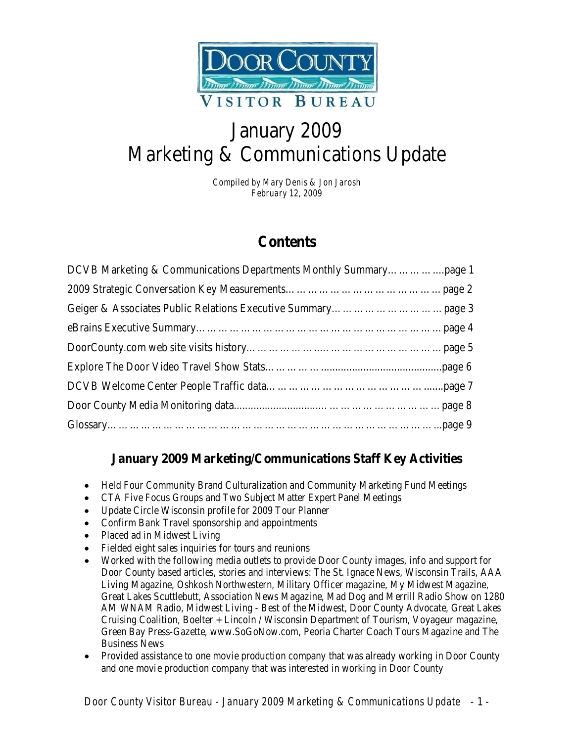

# January 2009 Marketing & Communications Update

*Compiled by Mary Denis & Jon Jarosh February 12, 2009*

## **Contents**

### **January 2009 Marketing/Communications Staff Key Activities**

- Held Four Community Brand Culturalization and Community Marketing Fund Meetings
- CTA Five Focus Groups and Two Subject Matter Expert Panel Meetings
- Update Circle Wisconsin profile for 2009 Tour Planner
- Confirm Bank Travel sponsorship and appointments
- Placed ad in Midwest Living
- Fielded eight sales inquiries for tours and reunions
- Worked with the following media outlets to provide Door County images, info and support for Door County based articles, stories and interviews: The St. Ignace News, Wisconsin Trails, AAA Living Magazine, Oshkosh Northwestern, Military Officer magazine, My Midwest Magazine, Great Lakes Scuttlebutt, Association News Magazine, Mad Dog and Merrill Radio Show on 1280 AM WNAM Radio, Midwest Living - Best of the Midwest, Door County Advocate, Great Lakes Cruising Coalition, Boelter + Lincoln / Wisconsin Department of Tourism, Voyageur magazine, Green Bay Press-Gazette, www.SoGoNow.com, Peoria Charter Coach Tours Magazine and The Business News
- Provided assistance to one movie production company that was already working in Door County and one movie production company that was interested in working in Door County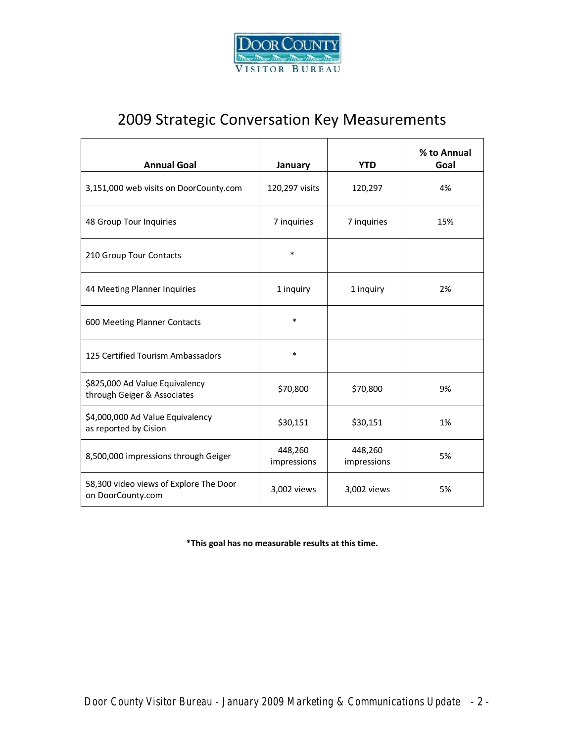

# 2009 Strategic Conversation Key Measurements

| <b>Annual Goal</b>                                            | January                | <b>YTD</b>             | % to Annual<br>Goal |
|---------------------------------------------------------------|------------------------|------------------------|---------------------|
| 3,151,000 web visits on DoorCounty.com                        | 120,297 visits         | 120,297                | 4%                  |
| 48 Group Tour Inquiries                                       | 7 inquiries            | 7 inquiries            | 15%                 |
| 210 Group Tour Contacts                                       | $\ast$                 |                        |                     |
| 44 Meeting Planner Inquiries                                  | 1 inquiry              | 1 inquiry              | 2%                  |
| 600 Meeting Planner Contacts                                  | $\ast$                 |                        |                     |
| 125 Certified Tourism Ambassadors                             | $\ast$                 |                        |                     |
| \$825,000 Ad Value Equivalency<br>through Geiger & Associates | \$70,800               | \$70,800               | 9%                  |
| \$4,000,000 Ad Value Equivalency<br>as reported by Cision     | \$30,151               | \$30,151               | 1%                  |
| 8,500,000 impressions through Geiger                          | 448,260<br>impressions | 448,260<br>impressions | 5%                  |
| 58,300 video views of Explore The Door<br>on DoorCounty.com   | 3,002 views            | 3,002 views            | 5%                  |

**\*This goal has no measurable results at this time.**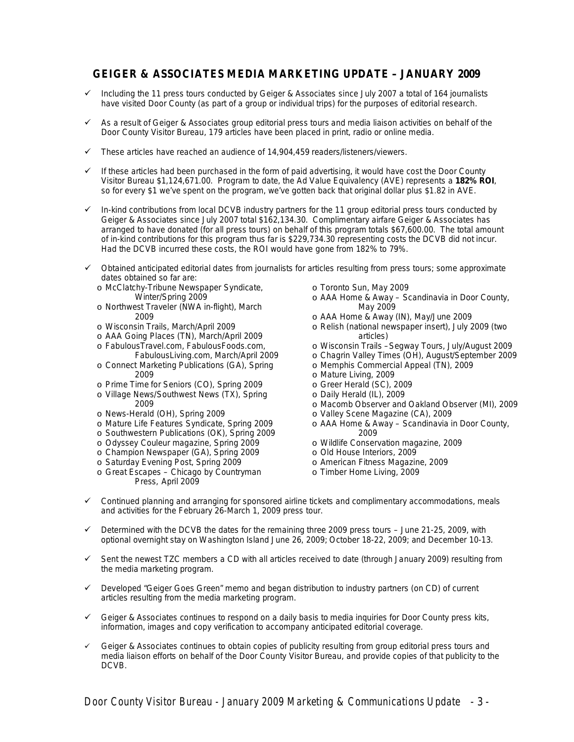#### **GEIGER & ASSOCIATES MEDIA MARKETING UPDATE – JANUARY 2009**

- $\checkmark$  Including the 11 press tours conducted by Geiger & Associates since July 2007 a total of 164 journalists have visited Door County (as part of a group or individual trips) for the purposes of editorial research.
- $\checkmark$  As a result of Geiger & Associates group editorial press tours and media liaison activities on behalf of the Door County Visitor Bureau, 179 articles have been placed in print, radio or online media.
- $\checkmark$  These articles have reached an audience of 14,904,459 readers/listeners/viewers.
- $\checkmark$  If these articles had been purchased in the form of paid advertising, it would have cost the Door County Visitor Bureau \$1,124,671.00. Program to date, the Ad Value Equivalency (AVE) represents a **182% ROI**, so for every \$1 we've spent on the program, we've gotten back that original dollar plus \$1.82 in AVE.
- $\checkmark$  In-kind contributions from local DCVB industry partners for the 11 group editorial press tours conducted by Geiger & Associates since July 2007 total \$162,134.30. Complimentary airfare Geiger & Associates has arranged to have donated (for all press tours) on behalf of this program totals \$67,600.00. The total amount of in-kind contributions for this program thus far is \$229,734.30 representing costs the DCVB did not incur. Had the DCVB incurred these costs, the ROI would have gone from 182% to 79%.
- $\checkmark$  Obtained anticipated editorial dates from journalists for articles resulting from press tours; some approximate dates obtained so far are:
	- o McClatchy-Tribune Newspaper Syndicate, Winter/Spring 2009
	- o Northwest Traveler (NWA in-flight), March 2009
	- o Wisconsin Trails, March/April 2009
	- o AAA Going Places (TN), March/April 2009
	- o FabulousTravel.com, FabulousFoods.com,
	- FabulousLiving.com, March/April 2009 o Connect Marketing Publications (GA), Spring 2009
	- o Prime Time for Seniors (CO), Spring 2009
	- o Village News/Southwest News (TX), Spring 2009
	- o News-Herald (OH), Spring 2009
	- o Mature Life Features Syndicate, Spring 2009
	- o Southwestern Publications (OK), Spring 2009
	- o Odyssey Couleur magazine, Spring 2009
	- o Champion Newspaper (GA), Spring 2009
	- o Saturday Evening Post, Spring 2009
	- o Great Escapes Chicago by Countryman Press, April 2009
- o Toronto Sun, May 2009
- o AAA Home & Away Scandinavia in Door County, May 2009
- o AAA Home & Away (IN), May/June 2009
- o Relish (national newspaper insert), July 2009 (two articles)
- o Wisconsin Trails –Segway Tours, July/August 2009
- o Chagrin Valley Times (OH), August/September 2009
- o Memphis Commercial Appeal (TN), 2009
- o Mature Living, 2009
- o Greer Herald (SC), 2009
- o Daily Herald (IL), 2009
- o Macomb Observer and Oakland Observer (MI), 2009
- o Valley Scene Magazine (CA), 2009
- o AAA Home & Away Scandinavia in Door County, 2009
- o Wildlife Conservation magazine, 2009
- o Old House Interiors, 2009
- o American Fitness Magazine, 2009
- o Timber Home Living, 2009
- $\checkmark$  Continued planning and arranging for sponsored airline tickets and complimentary accommodations, meals and activities for the February 26-March 1, 2009 press tour.
- $\checkmark$  Determined with the DCVB the dates for the remaining three 2009 press tours June 21-25, 2009, with optional overnight stay on Washington Island June 26, 2009; October 18-22, 2009; and December 10-13.
- $\checkmark$  Sent the newest TZC members a CD with all articles received to date (through January 2009) resulting from the media marketing program.
- $\checkmark$  Developed "Geiger Goes Green" memo and began distribution to industry partners (on CD) of current articles resulting from the media marketing program.
- $\checkmark$  Geiger & Associates continues to respond on a daily basis to media inquiries for Door County press kits, information, images and copy verification to accompany anticipated editorial coverage.
- $\checkmark$  Geiger & Associates continues to obtain copies of publicity resulting from group editorial press tours and media liaison efforts on behalf of the Door County Visitor Bureau, and provide copies of that publicity to the DCVB.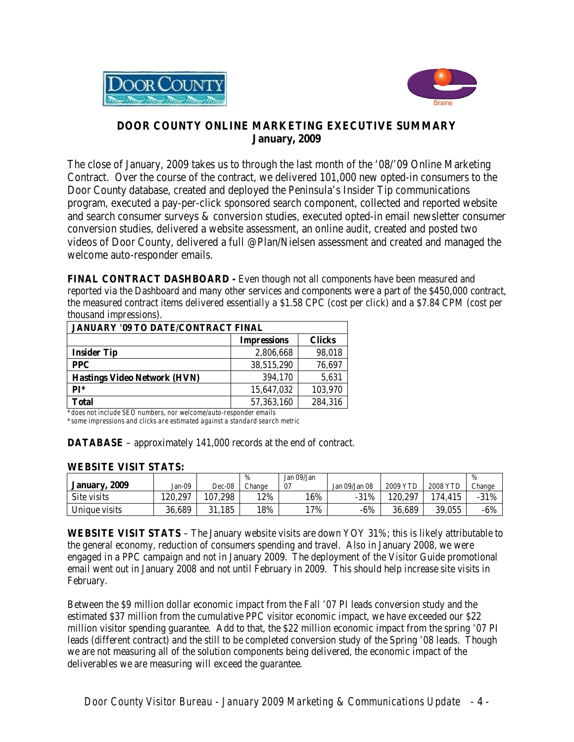



#### **DOOR COUNTY ONLINE MARKETING EXECUTIVE SUMMARY January, 2009**

The close of January, 2009 takes us to through the last month of the '08/'09 Online Marketing Contract. Over the course of the contract, we delivered 101,000 new opted-in consumers to the Door County database, created and deployed the Peninsula's Insider Tip communications program, executed a pay-per-click sponsored search component, collected and reported website and search consumer surveys & conversion studies, executed opted-in email newsletter consumer conversion studies, delivered a website assessment, an online audit, created and posted two videos of Door County, delivered a full @Plan/Nielsen assessment and created and managed the welcome auto-responder emails.

**FINAL CONTRACT DASHBOARD -** Even though not all components have been measured and reported via the Dashboard and many other services and components were a part of the \$450,000 contract, the measured contract items delivered essentially a \$1.58 CPC (cost per click) and a \$7.84 CPM (cost per thousand impressions).

| <b>JANUARY '09 TO DATE/CONTRACT FINAL</b> |              |         |  |  |  |
|-------------------------------------------|--------------|---------|--|--|--|
| <b>Clicks</b><br><b>Impressions</b>       |              |         |  |  |  |
| <b>Insider Tip</b>                        | 2,806,668    | 98,018  |  |  |  |
| <b>PPC</b>                                | 38,515,290   | 76,697  |  |  |  |
| <b>Hastings Video Network (HVN)</b>       | 394,170      | 5,631   |  |  |  |
| $PI*$                                     | 15,647,032   | 103,970 |  |  |  |
| Total                                     | 57, 363, 160 | 284,316 |  |  |  |

*\*does not include SEO numbers, nor welcome/auto-responder emails \*some impressions and clicks are estimated against a standard search metric*

**DATABASE** – approximately 141,000 records at the end of contract.

#### **WEBSITE VISIT STATS:**

|               |         |         | $\frac{0}{0}$ | Jan 09/Jan |                    |          |          | $\%$   |
|---------------|---------|---------|---------------|------------|--------------------|----------|----------|--------|
| January, 2009 | Jan-09  | Dec-08  | Change        |            | Jan $09$ /Jan $08$ | 2009 YTD | 2008 YTD | Change |
| Site visits   | 120.297 | 107.298 | 12%           | 16%        | $-31%$             | 20.297   | 174.415  | $-31%$ |
| Unique visits | 36.689  | 31.185  | 18%           | 7%         | -6%                | 36.689   | 39,055   | $-6%$  |

**WEBSITE VISIT STATS** – The January website visits are down YOY 31%; this is likely attributable to the general economy, reduction of consumers spending and travel. Also in January 2008, we were engaged in a PPC campaign and not in January 2009. The deployment of the Visitor Guide promotional email went out in January 2008 and not until February in 2009. This should help increase site visits in February.

Between the \$9 million dollar economic impact from the Fall '07 PI leads conversion study and the estimated \$37 million from the cumulative PPC visitor economic impact, we have exceeded our \$22 million visitor spending guarantee. Add to that, the \$22 million economic impact from the spring '07 PI leads (different contract) and the still to be completed conversion study of the Spring '08 leads. Though we are not measuring all of the solution components being delivered, the economic impact of the deliverables we are measuring will exceed the guarantee.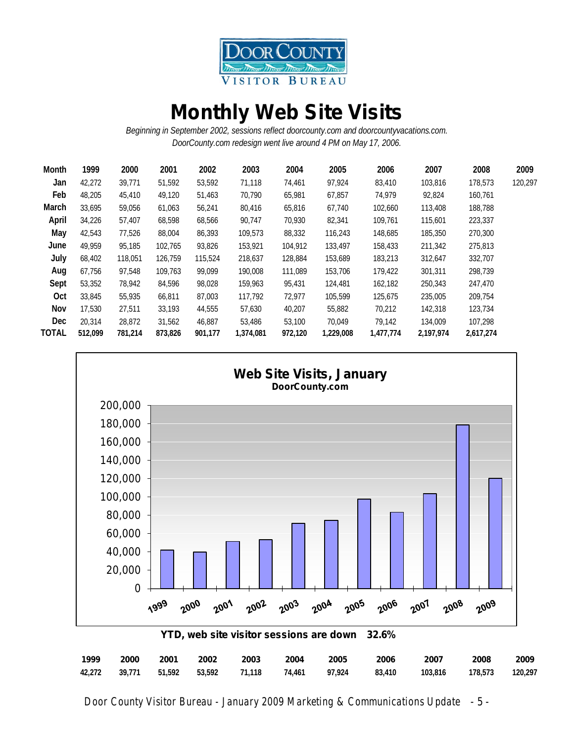

# **Monthly Web Site Visits**

*Beginning in September 2002, sessions reflect doorcounty.com and doorcountyvacations.com. DoorCounty.com redesign went live around 4 PM on May 17, 2006.*

| 1999<br>Month    | 2000    | 2001    | 2002    | 2003      | 2004    | 2005      | 2006      | 2007      | 2008      | 2009    |
|------------------|---------|---------|---------|-----------|---------|-----------|-----------|-----------|-----------|---------|
| 42,272<br>Jan    | 39,771  | 51,592  | 53,592  | 71,118    | 74,461  | 97,924    | 83,410    | 103,816   | 178,573   | 120,297 |
| Feb<br>48,205    | 45,410  | 49,120  | 51,463  | 70,790    | 65,981  | 67,857    | 74,979    | 92,824    | 160,761   |         |
| March<br>33,695  | 59.056  | 61,063  | 56,241  | 80,416    | 65,816  | 67,740    | 102,660   | 113,408   | 188,788   |         |
| April<br>34,226  | 57.407  | 68,598  | 68,566  | 90,747    | 70,930  | 82,341    | 109,761   | 115,601   | 223,337   |         |
| May<br>42,543    | 77.526  | 88,004  | 86,393  | 109,573   | 88,332  | 116,243   | 148,685   | 185,350   | 270,300   |         |
| 49.959<br>June   | 95.185  | 102.765 | 93,826  | 153,921   | 104,912 | 133,497   | 158,433   | 211,342   | 275,813   |         |
| July<br>68,402   | 118.051 | 126,759 | 115,524 | 218,637   | 128,884 | 153,689   | 183,213   | 312,647   | 332,707   |         |
| Aug<br>67,756    | 97.548  | 109.763 | 99.099  | 190,008   | 111,089 | 153,706   | 179,422   | 301,311   | 298,739   |         |
| 53,352<br>Sept   | 78.942  | 84.596  | 98.028  | 159.963   | 95,431  | 124,481   | 162,182   | 250,343   | 247,470   |         |
| Oct<br>33,845    | 55,935  | 66.811  | 87,003  | 117.792   | 72,977  | 105.599   | 125,675   | 235,005   | 209.754   |         |
| Nov<br>17.530    | 27,511  | 33,193  | 44,555  | 57,630    | 40,207  | 55,882    | 70,212    | 142,318   | 123,734   |         |
| Dec.<br>20,314   | 28,872  | 31,562  | 46.887  | 53,486    | 53,100  | 70.049    | 79,142    | 134,009   | 107,298   |         |
| TOTAL<br>512,099 | 781,214 | 873,826 | 901,177 | 1,374,081 | 972,120 | 1,229,008 | 1,477,774 | 2,197,974 | 2,617,274 |         |



*Door County Visitor Bureau - January 2009 Marketing & Communications Update* - 5 -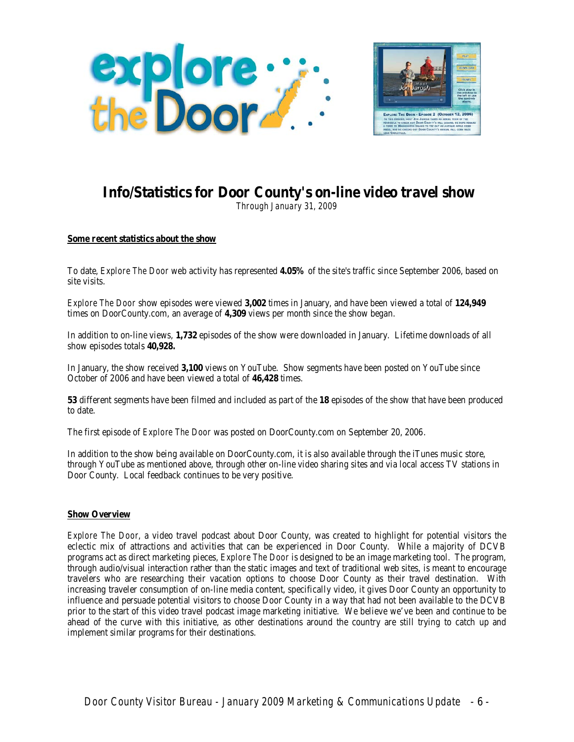



## **Info/Statistics for Door County's on-line video travel show**

*Through January 31, 2009*

#### **Some recent statistics about the show**

To date, *Explore The Door* web activity has represented **4.05%** of the site's traffic since September 2006, based on site visits.

*Explore The Door* show episodes were viewed **3,002** times in January, and have been viewed a total of **124,949** times on DoorCounty.com, an average of **4,309** views per month since the show began.

In addition to on-line views, **1,732** episodes of the show were downloaded in January. Lifetime downloads of all show episodes totals **40,928.**

In January, the show received **3,100** views on YouTube. Show segments have been posted on YouTube since October of 2006 and have been viewed a total of **46,428** times.

**53** different segments have been filmed and included as part of the **18** episodes of the show that have been produced to date.

The first episode of *Explore The Door* was posted on DoorCounty.com on September 20, 2006.

In addition to the show being available on DoorCounty.com, it is also available through the iTunes music store, through YouTube as mentioned above, through other on-line video sharing sites and via local access TV stations in Door County. Local feedback continues to be very positive.

#### **Show Overview**

*Explore The Door*, a video travel podcast about Door County, was created to highlight for potential visitors the eclectic mix of attractions and activities that can be experienced in Door County. While a majority of DCVB programs act as direct marketing pieces, *Explore The Door* is designed to be an image marketing tool. The program, through audio/visual interaction rather than the static images and text of traditional web sites, is meant to encourage travelers who are researching their vacation options to choose Door County as their travel destination. With increasing traveler consumption of on-line media content, specifically video, it gives Door County an opportunity to influence and persuade potential visitors to choose Door County in a way that had not been available to the DCVB prior to the start of this video travel podcast image marketing initiative. We believe we've been and continue to be ahead of the curve with this initiative, as other destinations around the country are still trying to catch up and implement similar programs for their destinations.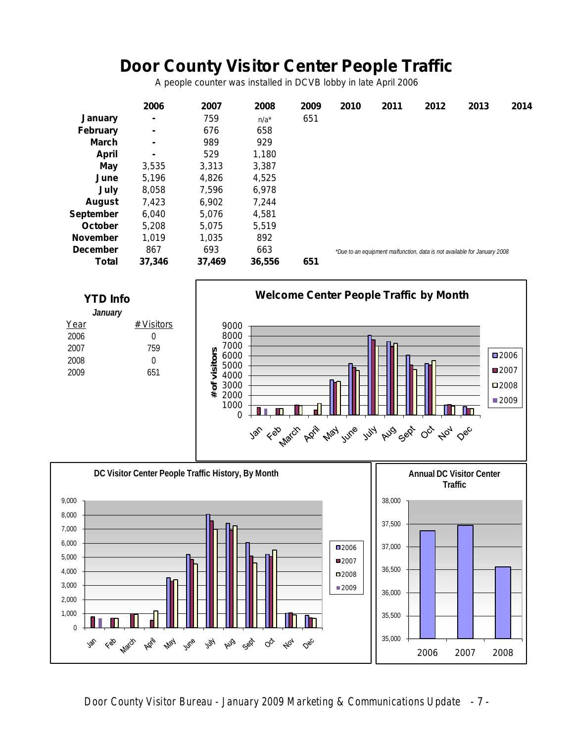# **Door County Visitor Center People Traffic**

*A people counter was installed in DCVB lobby in late April 2006*

|                  | 2006           | 2007   | 2008    | 2009 | 2010 | 2011 | 2012                                                                     | 2013 | 2014 |
|------------------|----------------|--------|---------|------|------|------|--------------------------------------------------------------------------|------|------|
| <b>January</b>   | $\blacksquare$ | 759    | $n/a^*$ | 651  |      |      |                                                                          |      |      |
| <b>February</b>  | $\blacksquare$ | 676    | 658     |      |      |      |                                                                          |      |      |
| <b>March</b>     |                | 989    | 929     |      |      |      |                                                                          |      |      |
| April            | $\blacksquare$ | 529    | 1,180   |      |      |      |                                                                          |      |      |
| May              | 3,535          | 3,313  | 3,387   |      |      |      |                                                                          |      |      |
| June             | 5,196          | 4,826  | 4,525   |      |      |      |                                                                          |      |      |
| July             | 8,058          | 7,596  | 6,978   |      |      |      |                                                                          |      |      |
| <b>August</b>    | 7,423          | 6,902  | 7,244   |      |      |      |                                                                          |      |      |
| <b>September</b> | 6.040          | 5.076  | 4.581   |      |      |      |                                                                          |      |      |
| October          | 5.208          | 5,075  | 5,519   |      |      |      |                                                                          |      |      |
| <b>November</b>  | 1,019          | 1,035  | 892     |      |      |      |                                                                          |      |      |
| <b>December</b>  | 867            | 693    | 663     |      |      |      | *Due to an equipment malfunction, data is not available for January 2008 |      |      |
| Total            | 37,346         | 37.469 | 36,556  | 651  |      |      |                                                                          |      |      |



 $\phi_{\!\scriptscriptstyle\mathcal{O}\!f}$ 

Dec

 $Q_{\! \! \tilde{Q}}$ 

35,000

2006 2007 2008

0

HT. Ш

Feb March

Jap

ADE

**May** 

June

Aug Sep

rty

*Door County Visitor Bureau - January 2009 Marketing & Communications Update* - 7 -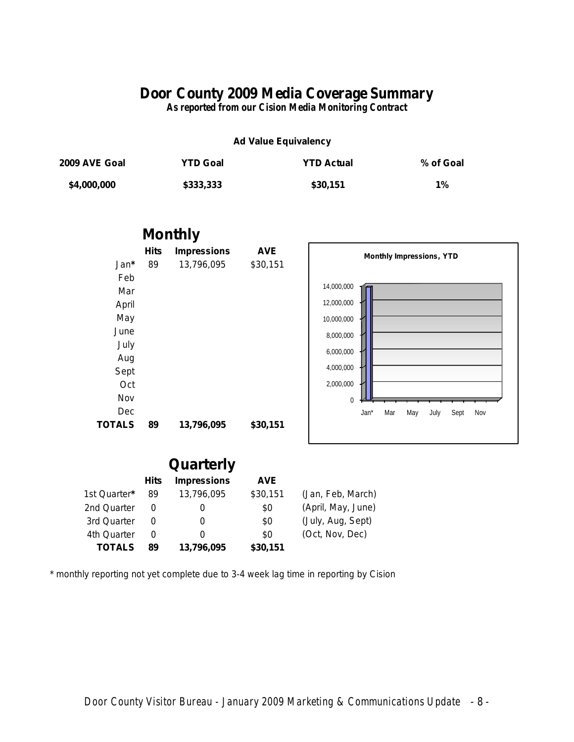### **Door County 2009 Media Coverage Summary**

*As reported from our Cision Media Monitoring Contract*

#### **Ad Value Equivalency**

| 2009 AVE Goal | <b>YTD Goal</b> | <b>YTD Actual</b> | % of Goal |
|---------------|-----------------|-------------------|-----------|
| \$4,000,000   | \$333,333       | \$30,151          | $1\%$     |





## **Quarterly**

|               | Hits | <b>Impressions</b> | <b>AVE</b> |                    |
|---------------|------|--------------------|------------|--------------------|
| 1st Quarter*  | 89   | 13,796,095         | \$30,151   | (Jan, Feb, March)  |
| 2nd Quarter   |      | O                  | \$0        | (April, May, June) |
| 3rd Quarter   |      | O                  | \$0        | (July, Aug, Sept)  |
| 4th Quarter   |      | O                  | \$0        | (Oct, Nov, Dec)    |
| <b>TOTALS</b> | 89   | 13,796,095         | \$30,151   |                    |

*\* monthly reporting not yet complete due to 3-4 week lag time in reporting by Cision*

*Door County Visitor Bureau - January 2009 Marketing & Communications Update* - 8 -